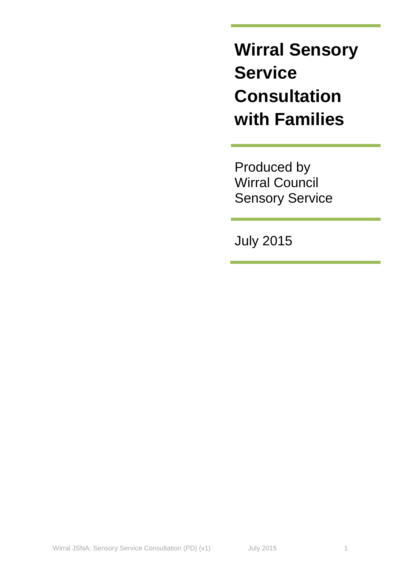**Wirral Sensory Service Consultation with Families**

Produced by Wirral Council Sensory Service

July 2015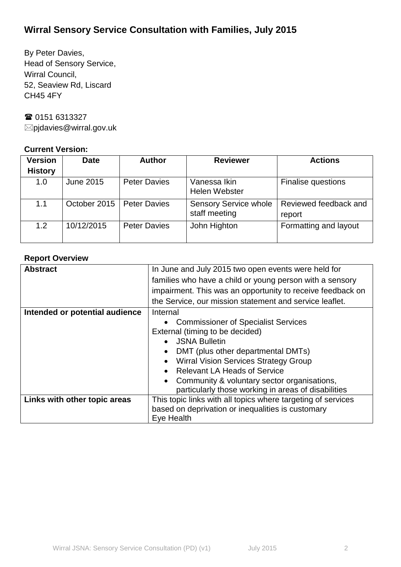By Peter Davies, Head of Sensory Service, Wirral Council, 52, Seaview Rd, Liscard CH45 4FY

■ 0151 6313327 pjdavies@wirral.gov.uk

# **Current Version:**

| <b>Version</b><br><b>History</b> | <b>Date</b>  | <b>Author</b>       | <b>Reviewer</b>                               | <b>Actions</b>                  |
|----------------------------------|--------------|---------------------|-----------------------------------------------|---------------------------------|
| 1.0                              | June 2015    | <b>Peter Davies</b> | Vanessa Ikin<br><b>Helen Webster</b>          | Finalise questions              |
| 1.1                              | October 2015 | <b>Peter Davies</b> | <b>Sensory Service whole</b><br>staff meeting | Reviewed feedback and<br>report |
| 1.2                              | 10/12/2015   | <b>Peter Davies</b> | John Highton                                  | Formatting and layout           |

# **Report Overview**

| <b>Abstract</b>                | In June and July 2015 two open events were held for<br>families who have a child or young person with a sensory<br>impairment. This was an opportunity to receive feedback on                                                                                                                                                              |  |  |  |  |
|--------------------------------|--------------------------------------------------------------------------------------------------------------------------------------------------------------------------------------------------------------------------------------------------------------------------------------------------------------------------------------------|--|--|--|--|
|                                | the Service, our mission statement and service leaflet.                                                                                                                                                                                                                                                                                    |  |  |  |  |
| Intended or potential audience | Internal<br>• Commissioner of Specialist Services<br>External (timing to be decided)<br><b>JSNA Bulletin</b><br>DMT (plus other departmental DMTs)<br><b>Wirral Vision Services Strategy Group</b><br>• Relevant LA Heads of Service<br>Community & voluntary sector organisations,<br>particularly those working in areas of disabilities |  |  |  |  |
| Links with other topic areas   | This topic links with all topics where targeting of services<br>based on deprivation or inequalities is customary<br>Eye Health                                                                                                                                                                                                            |  |  |  |  |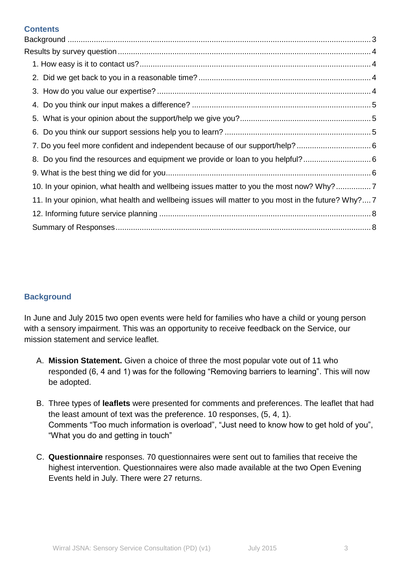# **Contents**

| 8. Do you find the resources and equipment we provide or loan to you helpful?6                      |  |
|-----------------------------------------------------------------------------------------------------|--|
|                                                                                                     |  |
| 10. In your opinion, what health and wellbeing issues matter to you the most now? Why?7             |  |
| 11. In your opinion, what health and wellbeing issues will matter to you most in the future? Why? 7 |  |
|                                                                                                     |  |
|                                                                                                     |  |

# <span id="page-2-0"></span>**Background**

In June and July 2015 two open events were held for families who have a child or young person with a sensory impairment. This was an opportunity to receive feedback on the Service, our mission statement and service leaflet.

- A. **Mission Statement.** Given a choice of three the most popular vote out of 11 who responded (6, 4 and 1) was for the following "Removing barriers to learning". This will now be adopted.
- B. Three types of **leaflets** were presented for comments and preferences. The leaflet that had the least amount of text was the preference. 10 responses, (5, 4, 1). Comments "Too much information is overload", "Just need to know how to get hold of you", "What you do and getting in touch"
- C. **Questionnaire** responses. 70 questionnaires were sent out to families that receive the highest intervention. Questionnaires were also made available at the two Open Evening Events held in July. There were 27 returns.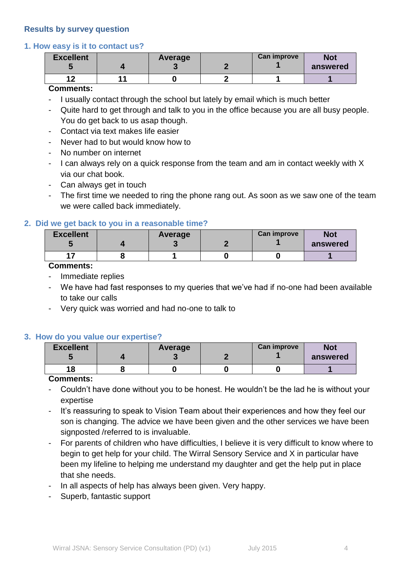### <span id="page-3-0"></span>**Results by survey question**

#### <span id="page-3-1"></span>**1. How easy is it to contact us?**

| <b>Excellent</b> | Average | <b>Can improve</b> | <b>Not</b><br>answered |
|------------------|---------|--------------------|------------------------|
| 10<br>L          |         |                    |                        |

#### **Comments:**

- I usually contact through the school but lately by email which is much better
- Quite hard to get through and talk to you in the office because you are all busy people. You do get back to us asap though.
- Contact via text makes life easier
- Never had to but would know how to
- No number on internet
- I can always rely on a quick response from the team and am in contact weekly with X via our chat book.
- Can always get in touch
- The first time we needed to ring the phone rang out. As soon as we saw one of the team we were called back immediately.

#### <span id="page-3-2"></span>**2. Did we get back to you in a reasonable time?**

| <b>Excellent</b> | Average | <b>Can improve</b> | <b>Not</b><br>answered |
|------------------|---------|--------------------|------------------------|
|                  |         |                    |                        |

#### **Comments:**

- Immediate replies
- We have had fast responses to my queries that we've had if no-one had been available to take our calls
- Very quick was worried and had no-one to talk to

# <span id="page-3-3"></span>**3. How do you value our expertise?**

| <b>Excellent</b> | Average | <b>Can improve</b> | <b>Not</b><br>answered |
|------------------|---------|--------------------|------------------------|
| 18               |         |                    |                        |

#### **Comments:**

- Couldn't have done without you to be honest. He wouldn't be the lad he is without your expertise
- It's reassuring to speak to Vision Team about their experiences and how they feel our son is changing. The advice we have been given and the other services we have been signposted /referred to is invaluable.
- For parents of children who have difficulties, I believe it is very difficult to know where to begin to get help for your child. The Wirral Sensory Service and X in particular have been my lifeline to helping me understand my daughter and get the help put in place that she needs.
- In all aspects of help has always been given. Very happy.
- Superb, fantastic support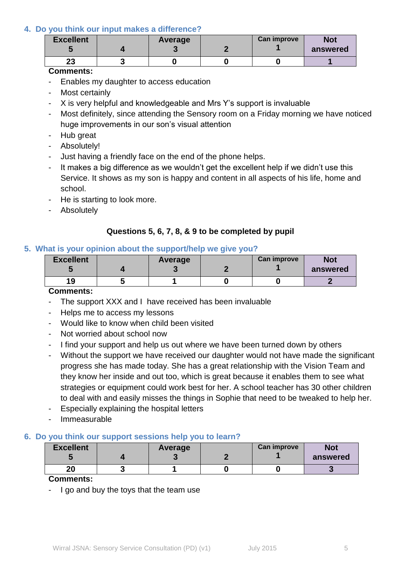### <span id="page-4-0"></span>**4. Do you think our input makes a difference?**

| <b>Excellent</b> | Average | <b>Can improve</b> | <b>Not</b><br>answered |
|------------------|---------|--------------------|------------------------|
| 23               |         |                    |                        |

#### **Comments:**

- Enables my daughter to access education
- Most certainly
- X is very helpful and knowledgeable and Mrs Y's support is invaluable
- Most definitely, since attending the Sensory room on a Friday morning we have noticed huge improvements in our son's visual attention
- Hub great
- Absolutely!
- Just having a friendly face on the end of the phone helps.
- It makes a big difference as we wouldn't get the excellent help if we didn't use this Service. It shows as my son is happy and content in all aspects of his life, home and school.
- He is starting to look more.
- Absolutely

# **Questions 5, 6, 7, 8, & 9 to be completed by pupil**

#### <span id="page-4-1"></span>**5. What is your opinion about the support/help we give you?**

| <b>Excellent</b> | Average | Can improve | <b>Not</b><br>answered |
|------------------|---------|-------------|------------------------|
| 19               |         |             |                        |

#### **Comments:**

- The support XXX and I have received has been invaluable
- Helps me to access my lessons
- Would like to know when child been visited
- Not worried about school now
- I find your support and help us out where we have been turned down by others
- Without the support we have received our daughter would not have made the significant progress she has made today. She has a great relationship with the Vision Team and they know her inside and out too, which is great because it enables them to see what strategies or equipment could work best for her. A school teacher has 30 other children to deal with and easily misses the things in Sophie that need to be tweaked to help her.
- Especially explaining the hospital letters
- Immeasurable

#### <span id="page-4-2"></span>**6. Do you think our support sessions help you to learn?**

| <b>Excellent</b> | Average | <b>Can improve</b> | <b>Not</b><br>answered |
|------------------|---------|--------------------|------------------------|
| 20               |         |                    |                        |

#### **Comments:**

- I go and buy the toys that the team use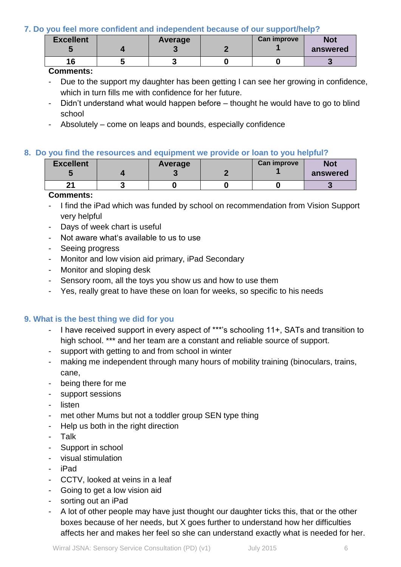### <span id="page-5-0"></span>**7. Do you feel more confident and independent because of our support/help?**

| <b>Excellent</b> | Average | <b>Can improve</b> | <b>Not</b><br>answered |
|------------------|---------|--------------------|------------------------|
| 16               |         |                    |                        |

### **Comments:**

- Due to the support my daughter has been getting I can see her growing in confidence, which in turn fills me with confidence for her future.
- Didn't understand what would happen before thought he would have to go to blind school
- Absolutely come on leaps and bounds, especially confidence

### <span id="page-5-1"></span>**8. Do you find the resources and equipment we provide or loan to you helpful?**

| <b>Excellent</b> | Average | <b>Can improve</b> | <b>Not</b><br>answered |
|------------------|---------|--------------------|------------------------|
| Λ,               |         |                    |                        |

### **Comments:**

- I find the iPad which was funded by school on recommendation from Vision Support very helpful
- Days of week chart is useful
- Not aware what's available to us to use
- Seeing progress
- Monitor and low vision aid primary, iPad Secondary
- Monitor and sloping desk
- Sensory room, all the toys you show us and how to use them
- Yes, really great to have these on loan for weeks, so specific to his needs

# <span id="page-5-2"></span>**9. What is the best thing we did for you**

- I have received support in every aspect of \*\*\*'s schooling 11+, SATs and transition to high school. \*\*\* and her team are a constant and reliable source of support.
- support with getting to and from school in winter
- making me independent through many hours of mobility training (binoculars, trains, cane,
- being there for me
- support sessions
- listen
- met other Mums but not a toddler group SEN type thing
- Help us both in the right direction
- Talk
- Support in school
- visual stimulation
- iPad
- CCTV, looked at veins in a leaf
- Going to get a low vision aid
- sorting out an iPad
- A lot of other people may have just thought our daughter ticks this, that or the other boxes because of her needs, but X goes further to understand how her difficulties affects her and makes her feel so she can understand exactly what is needed for her.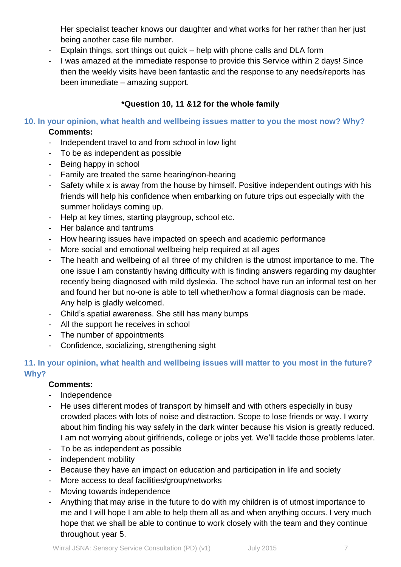Her specialist teacher knows our daughter and what works for her rather than her just being another case file number.

- Explain things, sort things out quick help with phone calls and DLA form
- I was amazed at the immediate response to provide this Service within 2 days! Since then the weekly visits have been fantastic and the response to any needs/reports has been immediate – amazing support.

# **\*Question 10, 11 &12 for the whole family**

# <span id="page-6-0"></span>**10. In your opinion, what health and wellbeing issues matter to you the most now? Why? Comments:**

- Independent travel to and from school in low light
- To be as independent as possible
- Being happy in school
- Family are treated the same hearing/non-hearing
- Safety while x is away from the house by himself. Positive independent outings with his friends will help his confidence when embarking on future trips out especially with the summer holidays coming up.
- Help at key times, starting playgroup, school etc.
- Her balance and tantrums
- How hearing issues have impacted on speech and academic performance
- More social and emotional wellbeing help required at all ages
- The health and wellbeing of all three of my children is the utmost importance to me. The one issue I am constantly having difficulty with is finding answers regarding my daughter recently being diagnosed with mild dyslexia. The school have run an informal test on her and found her but no-one is able to tell whether/how a formal diagnosis can be made. Any help is gladly welcomed.
- Child's spatial awareness. She still has many bumps
- All the support he receives in school
- The number of appointments
- Confidence, socializing, strengthening sight

# <span id="page-6-1"></span>**11. In your opinion, what health and wellbeing issues will matter to you most in the future? Why?**

# **Comments:**

- Independence
- He uses different modes of transport by himself and with others especially in busy crowded places with lots of noise and distraction. Scope to lose friends or way. I worry about him finding his way safely in the dark winter because his vision is greatly reduced. I am not worrying about girlfriends, college or jobs yet. We'll tackle those problems later.
- To be as independent as possible
- independent mobility
- Because they have an impact on education and participation in life and society
- More access to deaf facilities/group/networks
- Moving towards independence
- Anything that may arise in the future to do with my children is of utmost importance to me and I will hope I am able to help them all as and when anything occurs. I very much hope that we shall be able to continue to work closely with the team and they continue throughout year 5.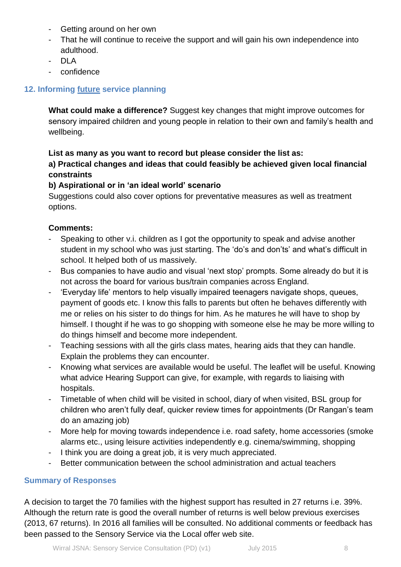- Getting around on her own
- That he will continue to receive the support and will gain his own independence into adulthood.
- DLA
- confidence

# <span id="page-7-0"></span>**12. Informing future service planning**

**What could make a difference?** Suggest key changes that might improve outcomes for sensory impaired children and young people in relation to their own and family's health and wellbeing.

# **List as many as you want to record but please consider the list as:**

**a) Practical changes and ideas that could feasibly be achieved given local financial constraints** 

# **b) Aspirational or in 'an ideal world' scenario**

Suggestions could also cover options for preventative measures as well as treatment options.

# **Comments:**

- Speaking to other v.i. children as I got the opportunity to speak and advise another student in my school who was just starting. The 'do's and don'ts' and what's difficult in school. It helped both of us massively.
- Bus companies to have audio and visual 'next stop' prompts. Some already do but it is not across the board for various bus/train companies across England.
- 'Everyday life' mentors to help visually impaired teenagers navigate shops, queues, payment of goods etc. I know this falls to parents but often he behaves differently with me or relies on his sister to do things for him. As he matures he will have to shop by himself. I thought if he was to go shopping with someone else he may be more willing to do things himself and become more independent.
- Teaching sessions with all the girls class mates, hearing aids that they can handle. Explain the problems they can encounter.
- Knowing what services are available would be useful. The leaflet will be useful. Knowing what advice Hearing Support can give, for example, with regards to liaising with hospitals.
- Timetable of when child will be visited in school, diary of when visited, BSL group for children who aren't fully deaf, quicker review times for appointments (Dr Rangan's team do an amazing job)
- More help for moving towards independence i.e. road safety, home accessories (smoke alarms etc., using leisure activities independently e.g. cinema/swimming, shopping
- I think you are doing a great job, it is very much appreciated.
- Better communication between the school administration and actual teachers

# <span id="page-7-1"></span>**Summary of Responses**

A decision to target the 70 families with the highest support has resulted in 27 returns i.e. 39%. Although the return rate is good the overall number of returns is well below previous exercises (2013, 67 returns). In 2016 all families will be consulted. No additional comments or feedback has been passed to the Sensory Service via the Local offer web site.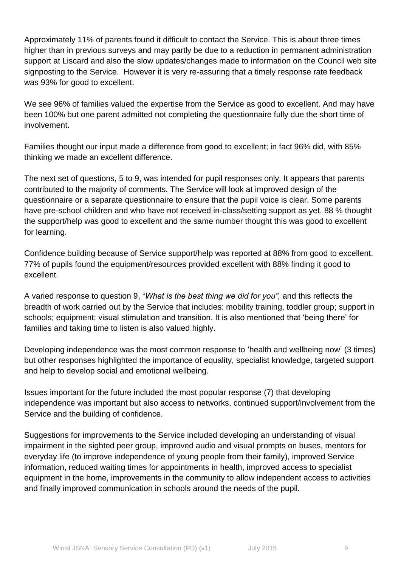Approximately 11% of parents found it difficult to contact the Service. This is about three times higher than in previous surveys and may partly be due to a reduction in permanent administration support at Liscard and also the slow updates/changes made to information on the Council web site signposting to the Service. However it is very re-assuring that a timely response rate feedback was 93% for good to excellent.

We see 96% of families valued the expertise from the Service as good to excellent. And may have been 100% but one parent admitted not completing the questionnaire fully due the short time of involvement.

Families thought our input made a difference from good to excellent; in fact 96% did, with 85% thinking we made an excellent difference.

The next set of questions, 5 to 9, was intended for pupil responses only. It appears that parents contributed to the majority of comments. The Service will look at improved design of the questionnaire or a separate questionnaire to ensure that the pupil voice is clear. Some parents have pre-school children and who have not received in-class/setting support as yet. 88 % thought the support/help was good to excellent and the same number thought this was good to excellent for learning.

Confidence building because of Service support/help was reported at 88% from good to excellent. 77% of pupils found the equipment/resources provided excellent with 88% finding it good to excellent.

A varied response to question 9, "*What is the best thing we did for you",* and this reflects the breadth of work carried out by the Service that includes: mobility training, toddler group; support in schools; equipment; visual stimulation and transition. It is also mentioned that 'being there' for families and taking time to listen is also valued highly.

Developing independence was the most common response to 'health and wellbeing now' (3 times) but other responses highlighted the importance of equality, specialist knowledge, targeted support and help to develop social and emotional wellbeing.

Issues important for the future included the most popular response (7) that developing independence was important but also access to networks, continued support/involvement from the Service and the building of confidence.

Suggestions for improvements to the Service included developing an understanding of visual impairment in the sighted peer group, improved audio and visual prompts on buses, mentors for everyday life (to improve independence of young people from their family), improved Service information, reduced waiting times for appointments in health, improved access to specialist equipment in the home, improvements in the community to allow independent access to activities and finally improved communication in schools around the needs of the pupil.